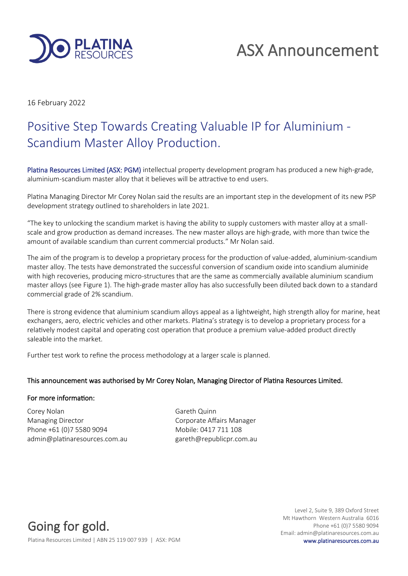

16 February 2022

## Positive Step Towards Creating Valuable IP for Aluminium - Scandium Master Alloy Production.

Platina Resources Limited (ASX: PGM) intellectual property development program has produced a new high-grade, aluminium-scandium master alloy that it believes will be attractive to end users.

Platina Managing Director Mr Corey Nolan said the results are an important step in the development of its new PSP development strategy outlined to shareholders in late 2021.

"The key to unlocking the scandium market is having the ability to supply customers with master alloy at a smallscale and grow production as demand increases. The new master alloys are high-grade, with more than twice the amount of available scandium than current commercial products." Mr Nolan said.

The aim of the program is to develop a proprietary process for the production of value-added, aluminium-scandium master alloy. The tests have demonstrated the successful conversion of scandium oxide into scandium aluminide with high recoveries, producing micro-structures that are the same as commercially available aluminium scandium master alloys (see Figure 1). The high-grade master alloy has also successfully been diluted back down to a standard commercial grade of 2% scandium.

There is strong evidence that aluminium scandium alloys appeal as a lightweight, high strength alloy for marine, heat exchangers, aero, electric vehicles and other markets. Platina's strategy is to develop a proprietary process for a relatively modest capital and operating cost operation that produce a premium value-added product directly saleable into the market.

Further test work to refine the process methodology at a larger scale is planned.

## This announcement was authorised by Mr Corey Nolan, Managing Director of Platina Resources Limited.

## For more information:

Corey Nolan Gareth Quinn Managing Director **Communists** Corporate Affairs Manager Phone +61 (0)7 5580 9094 Mobile: 0417 711 108 admin@platinaresources.com.au eareth@republicpr.com.au

Going for gold.

Level 2, Suite 9, 389 Oxford Street Mt Hawthorn Western Australia 6016 Phone +61 (0)7 5580 9094 Email: admin@platinaresources.com.au

Platina Resources Limited | ABN 25 119 007 939 | ASX: PGM www.platinaresources.com.au